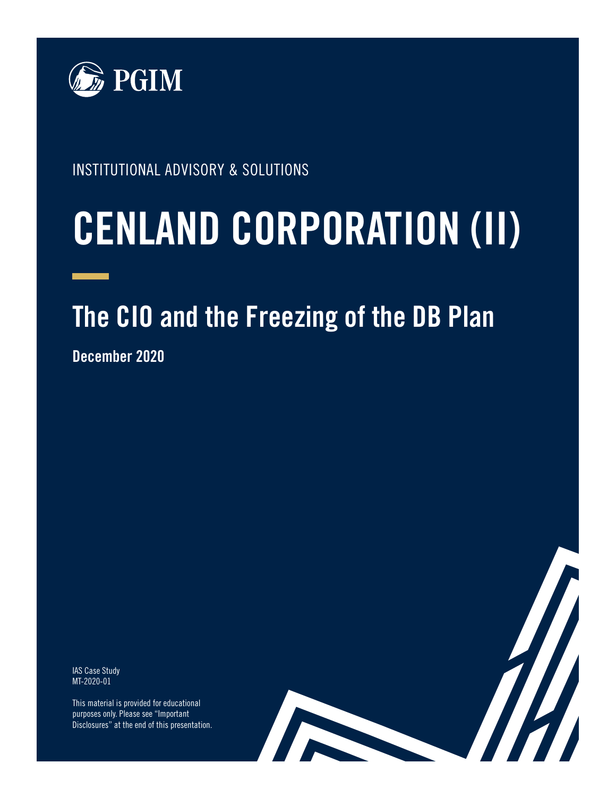

INSTITUTIONAL ADVISORY & SOLUTIONS

# **CENLAND CORPORATION (II)**

# **The CIO and the Freezing of the DB Plan**

14

**December 2020**

IAS Case Study MT-2020-01

This material is provided for educational purposes only. Please see "Important Disclosures" at the end of this presentation.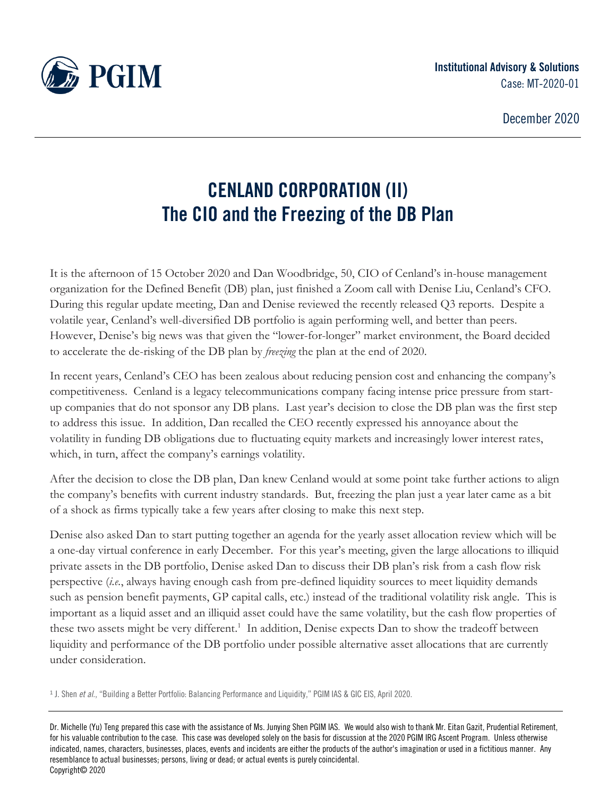

# **CENLAND CORPORATION (II) The CIO and the Freezing of the DB Plan**

It is the afternoon of 15 October 2020 and Dan Woodbridge, 50, CIO of Cenland's in-house management organization for the Defined Benefit (DB) plan, just finished a Zoom call with Denise Liu, Cenland's CFO. During this regular update meeting, Dan and Denise reviewed the recently released Q3 reports. Despite a volatile year, Cenland's well-diversified DB portfolio is again performing well, and better than peers. However, Denise's big news was that given the "lower-for-longer" market environment, the Board decided to accelerate the de-risking of the DB plan by *freezing* the plan at the end of 2020.

In recent years, Cenland's CEO has been zealous about reducing pension cost and enhancing the company's competitiveness. Cenland is a legacy telecommunications company facing intense price pressure from startup companies that do not sponsor any DB plans. Last year's decision to close the DB plan was the first step to address this issue. In addition, Dan recalled the CEO recently expressed his annoyance about the volatility in funding DB obligations due to fluctuating equity markets and increasingly lower interest rates, which, in turn, affect the company's earnings volatility.

After the decision to close the DB plan, Dan knew Cenland would at some point take further actions to align the company's benefits with current industry standards. But, freezing the plan just a year later came as a bit of a shock as firms typically take a few years after closing to make this next step.

Denise also asked Dan to start putting together an agenda for the yearly asset allocation review which will be a one-day virtual conference in early December. For this year's meeting, given the large allocations to illiquid private assets in the DB portfolio, Denise asked Dan to discuss their DB plan's risk from a cash flow risk perspective (*i.e.*, always having enough cash from pre-defined liquidity sources to meet liquidity demands such as pension benefit payments, GP capital calls, etc.) instead of the traditional volatility risk angle. This is important as a liquid asset and an illiquid asset could have the same volatility, but the cash flow properties of these two assets might be very different.<sup>1</sup> In addition, Denise expects Dan to show the tradeoff between liquidity and performance of the DB portfolio under possible alternative asset allocations that are currently under consideration.

1 J. Shen *et al.*, "[Building a Better Portfolio: Balancing Performance and Liquidity](https://cdn.pficdn.com/cms/pgim4/sites/default/files/2020-07/IAS-Building-a-Better-Portfolio-042020.pdf)," PGIM IAS & GIC EIS, April 2020.

Dr. Michelle (Yu) Teng prepared this case with the assistance of Ms. Junying Shen PGIM IAS. We would also wish to thank Mr. Eitan Gazit, Prudential Retirement, for his valuable contribution to the case. This case was developed solely on the basis for discussion at the 2020 PGIM IRG Ascent Program. Unless otherwise indicated, names, characters, businesses, places, events and incidents are either the products of the author's imagination or used in a fictitious manner. Any resemblance to actual businesses; persons, living or dead; or actual events is purely coincidental. Copyright© 2020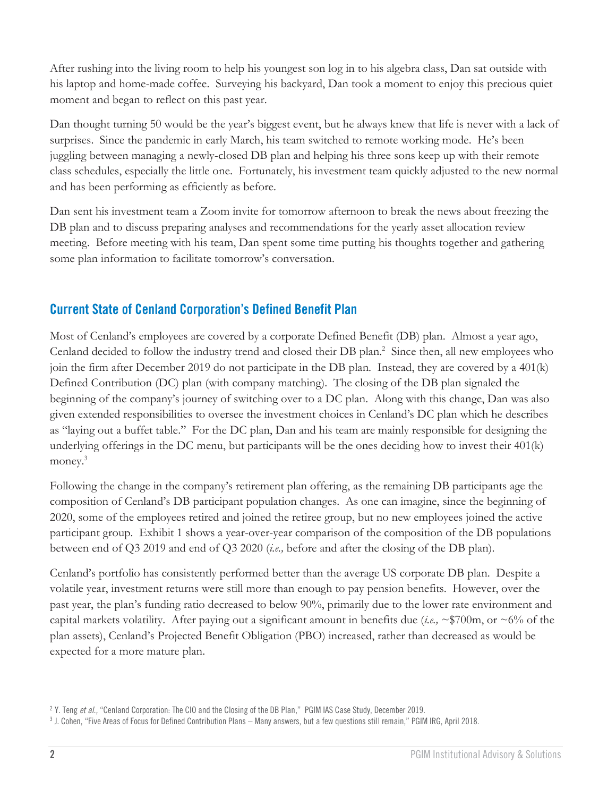After rushing into the living room to help his youngest son log in to his algebra class, Dan sat outside with his laptop and home-made coffee. Surveying his backyard, Dan took a moment to enjoy this precious quiet moment and began to reflect on this past year.

Dan thought turning 50 would be the year's biggest event, but he always knew that life is never with a lack of surprises. Since the pandemic in early March, his team switched to remote working mode. He's been juggling between managing a newly-closed DB plan and helping his three sons keep up with their remote class schedules, especially the little one. Fortunately, his investment team quickly adjusted to the new normal and has been performing as efficiently as before.

Dan sent his investment team a Zoom invite for tomorrow afternoon to break the news about freezing the DB plan and to discuss preparing analyses and recommendations for the yearly asset allocation review meeting. Before meeting with his team, Dan spent some time putting his thoughts together and gathering some plan information to facilitate tomorrow's conversation.

#### **Current State of Cenland Corporation's Defined Benefit Plan**

Most of Cenland's employees are covered by a corporate Defined Benefit (DB) plan. Almost a year ago, Cenland decided to follow the industry trend and closed their DB plan.<sup>2</sup> Since then, all new employees who join the firm after December 2019 do not participate in the DB plan. Instead, they are covered by a 401(k) Defined Contribution (DC) plan (with company matching). The closing of the DB plan signaled the beginning of the company's journey of switching over to a DC plan. Along with this change, Dan was also given extended responsibilities to oversee the investment choices in Cenland's DC plan which he describes as "laying out a buffet table." For the DC plan, Dan and his team are mainly responsible for designing the underlying offerings in the DC menu, but participants will be the ones deciding how to invest their 401(k) money.<sup>3</sup>

Following the change in the company's retirement plan offering, as the remaining DB participants age the composition of Cenland's DB participant population changes. As one can imagine, since the beginning of 2020, some of the employees retired and joined the retiree group, but no new employees joined the active participant group. Exhibit 1 shows a year-over-year comparison of the composition of the DB populations between end of Q3 2019 and end of Q3 2020 (*i.e.,* before and after the closing of the DB plan).

Cenland's portfolio has consistently performed better than the average US corporate DB plan. Despite a volatile year, investment returns were still more than enough to pay pension benefits. However, over the past year, the plan's funding ratio decreased to below 90%, primarily due to the lower rate environment and capital markets volatility. After paying out a significant amount in benefits due (*i.e.,* ~\$700m, or ~6% of the plan assets), Cenland's Projected Benefit Obligation (PBO) increased, rather than decreased as would be expected for a more mature plan.

<sup>2</sup> Y. Teng *et al.,* "[Cenland Corporation: The CIO and the Closing of the DB Plan](https://cdn.pficdn.com/cms/pgim4/sites/default/files/2020-05/IAS-Cenland-corp-case-study-2019.pdf)," PGIM IAS Case Study, December 2019.

<sup>3</sup> J. Cohen, "Five Areas of Focus for Defined Contribution Plans – Many answers, but a few questions still remain," PGIM IRG, April 2018.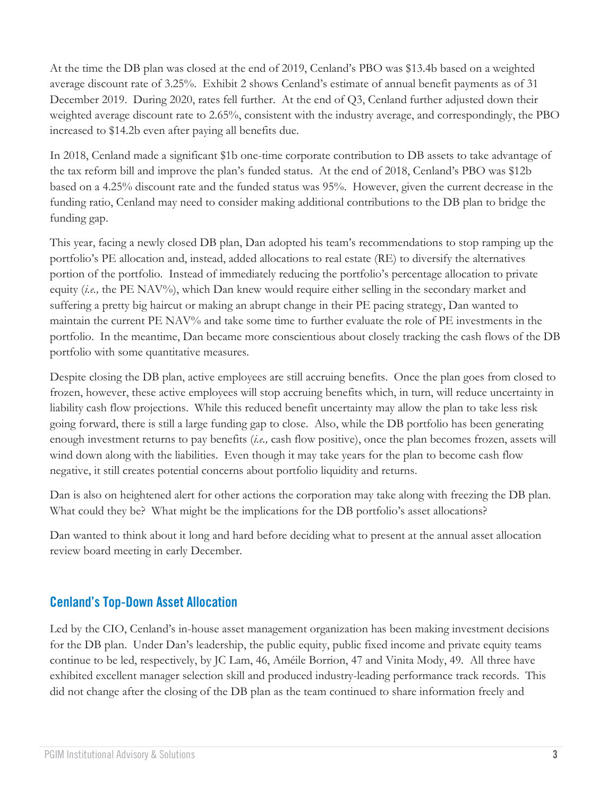At the time the DB plan was closed at the end of 2019, Cenland's PBO was \$13.4b based on a weighted average discount rate of 3.25%. Exhibit 2 shows Cenland's estimate of annual benefit payments as of 31 December 2019. During 2020, rates fell further. At the end of Q3, Cenland further adjusted down their weighted average discount rate to 2.65%, consistent with the industry average, and correspondingly, the PBO increased to \$14.2b even after paying all benefits due.

In 2018, Cenland made a significant \$1b one-time corporate contribution to DB assets to take advantage of the tax reform bill and improve the plan's funded status. At the end of 2018, Cenland's PBO was \$12b based on a 4.25% discount rate and the funded status was 95%. However, given the current decrease in the funding ratio, Cenland may need to consider making additional contributions to the DB plan to bridge the funding gap.

This year, facing a newly closed DB plan, Dan adopted his team's recommendations to stop ramping up the portfolio's PE allocation and, instead, added allocations to real estate (RE) to diversify the alternatives portion of the portfolio. Instead of immediately reducing the portfolio's percentage allocation to private equity *(i.e.,* the PE NAV%), which Dan knew would require either selling in the secondary market and suffering a pretty big haircut or making an abrupt change in their PE pacing strategy, Dan wanted to maintain the current PE NAV% and take some time to further evaluate the role of PE investments in the portfolio. In the meantime, Dan became more conscientious about closely tracking the cash flows of the DB portfolio with some quantitative measures.

Despite closing the DB plan, active employees are still accruing benefits. Once the plan goes from closed to frozen, however, these active employees will stop accruing benefits which, in turn, will reduce uncertainty in liability cash flow projections. While this reduced benefit uncertainty may allow the plan to take less risk going forward, there is still a large funding gap to close. Also, while the DB portfolio has been generating enough investment returns to pay benefits (*i.e.,* cash flow positive), once the plan becomes frozen, assets will wind down along with the liabilities. Even though it may take years for the plan to become cash flow negative, it still creates potential concerns about portfolio liquidity and returns.

Dan is also on heightened alert for other actions the corporation may take along with freezing the DB plan. What could they be? What might be the implications for the DB portfolio's asset allocations?

Dan wanted to think about it long and hard before deciding what to present at the annual asset allocation review board meeting in early December.

#### **Cenland's Top-Down Asset Allocation**

Led by the CIO, Cenland's in-house asset management organization has been making investment decisions for the DB plan. Under Dan's leadership, the public equity, public fixed income and private equity teams continue to be led, respectively, by JC Lam, 46, Améile Borrion, 47 and Vinita Mody, 49. All three have exhibited excellent manager selection skill and produced industry-leading performance track records. This did not change after the closing of the DB plan as the team continued to share information freely and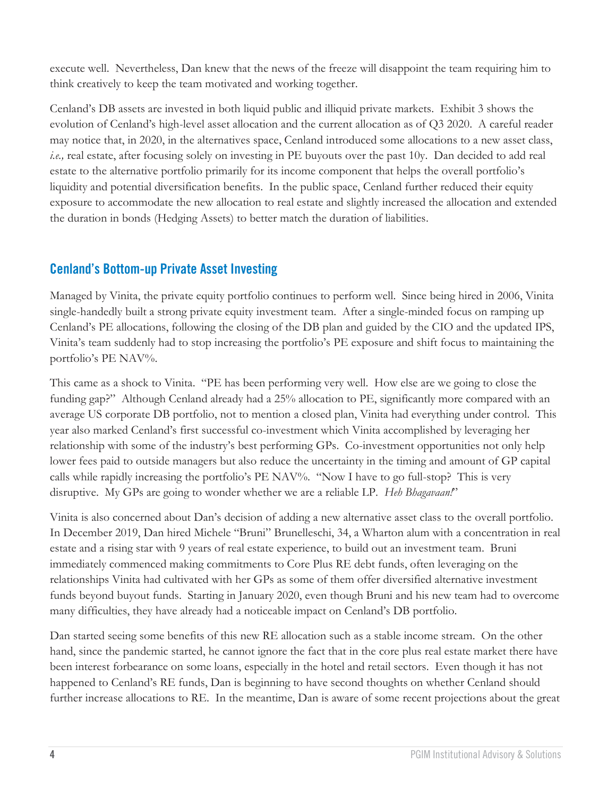execute well. Nevertheless, Dan knew that the news of the freeze will disappoint the team requiring him to think creatively to keep the team motivated and working together.

Cenland's DB assets are invested in both liquid public and illiquid private markets. Exhibit 3 shows the evolution of Cenland's high-level asset allocation and the current allocation as of Q3 2020. A careful reader may notice that, in 2020, in the alternatives space, Cenland introduced some allocations to a new asset class, *i.e.,* real estate, after focusing solely on investing in PE buyouts over the past 10y. Dan decided to add real estate to the alternative portfolio primarily for its income component that helps the overall portfolio's liquidity and potential diversification benefits. In the public space, Cenland further reduced their equity exposure to accommodate the new allocation to real estate and slightly increased the allocation and extended the duration in bonds (Hedging Assets) to better match the duration of liabilities.

#### **Cenland's Bottom-up Private Asset Investing**

Managed by Vinita, the private equity portfolio continues to perform well. Since being hired in 2006, Vinita single-handedly built a strong private equity investment team. After a single-minded focus on ramping up Cenland's PE allocations, following the closing of the DB plan and guided by the CIO and the updated IPS, Vinita's team suddenly had to stop increasing the portfolio's PE exposure and shift focus to maintaining the portfolio's PE NAV%.

This came as a shock to Vinita. "PE has been performing very well. How else are we going to close the funding gap?" Although Cenland already had a 25% allocation to PE, significantly more compared with an average US corporate DB portfolio, not to mention a closed plan, Vinita had everything under control. This year also marked Cenland's first successful co-investment which Vinita accomplished by leveraging her relationship with some of the industry's best performing GPs. Co-investment opportunities not only help lower fees paid to outside managers but also reduce the uncertainty in the timing and amount of GP capital calls while rapidly increasing the portfolio's PE NAV%. "Now I have to go full-stop? This is very disruptive. My GPs are going to wonder whether we are a reliable LP. *Heh Bhagavaan!*"

Vinita is also concerned about Dan's decision of adding a new alternative asset class to the overall portfolio. In December 2019, Dan hired Michele "Bruni" Brunelleschi, 34, a Wharton alum with a concentration in real estate and a rising star with 9 years of real estate experience, to build out an investment team. Bruni immediately commenced making commitments to Core Plus RE debt funds, often leveraging on the relationships Vinita had cultivated with her GPs as some of them offer diversified alternative investment funds beyond buyout funds. Starting in January 2020, even though Bruni and his new team had to overcome many difficulties, they have already had a noticeable impact on Cenland's DB portfolio.

Dan started seeing some benefits of this new RE allocation such as a stable income stream. On the other hand, since the pandemic started, he cannot ignore the fact that in the core plus real estate market there have been interest forbearance on some loans, especially in the hotel and retail sectors. Even though it has not happened to Cenland's RE funds, Dan is beginning to have second thoughts on whether Cenland should further increase allocations to RE. In the meantime, Dan is aware of some recent projections about the great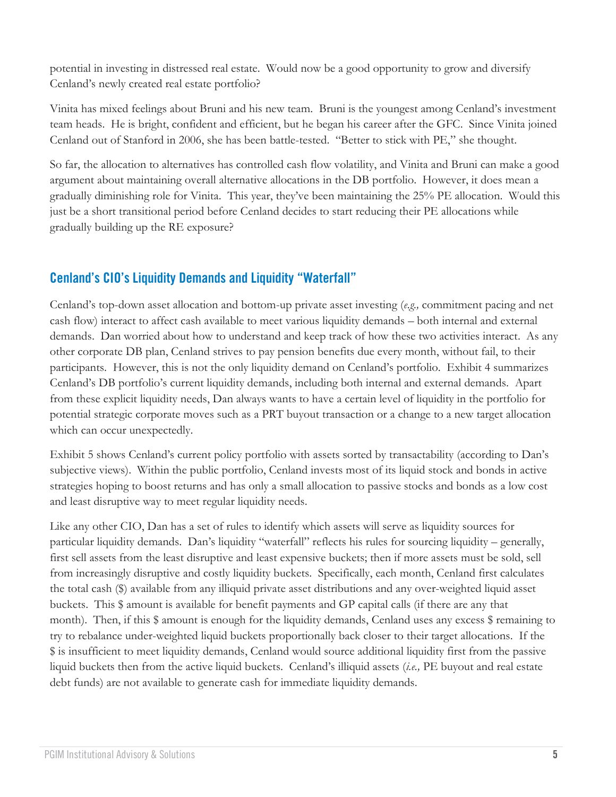potential in investing in distressed real estate. Would now be a good opportunity to grow and diversify Cenland's newly created real estate portfolio?

Vinita has mixed feelings about Bruni and his new team. Bruni is the youngest among Cenland's investment team heads. He is bright, confident and efficient, but he began his career after the GFC. Since Vinita joined Cenland out of Stanford in 2006, she has been battle-tested. "Better to stick with PE," she thought.

So far, the allocation to alternatives has controlled cash flow volatility, and Vinita and Bruni can make a good argument about maintaining overall alternative allocations in the DB portfolio. However, it does mean a gradually diminishing role for Vinita. This year, they've been maintaining the 25% PE allocation. Would this just be a short transitional period before Cenland decides to start reducing their PE allocations while gradually building up the RE exposure?

#### **Cenland's CIO's Liquidity Demands and Liquidity "Waterfall"**

Cenland's top-down asset allocation and bottom-up private asset investing (*e.g.,* commitment pacing and net cash flow) interact to affect cash available to meet various liquidity demands – both internal and external demands. Dan worried about how to understand and keep track of how these two activities interact. As any other corporate DB plan, Cenland strives to pay pension benefits due every month, without fail, to their participants. However, this is not the only liquidity demand on Cenland's portfolio. Exhibit 4 summarizes Cenland's DB portfolio's current liquidity demands, including both internal and external demands. Apart from these explicit liquidity needs, Dan always wants to have a certain level of liquidity in the portfolio for potential strategic corporate moves such as a PRT buyout transaction or a change to a new target allocation which can occur unexpectedly.

Exhibit 5 shows Cenland's current policy portfolio with assets sorted by transactability (according to Dan's subjective views). Within the public portfolio, Cenland invests most of its liquid stock and bonds in active strategies hoping to boost returns and has only a small allocation to passive stocks and bonds as a low cost and least disruptive way to meet regular liquidity needs.

Like any other CIO, Dan has a set of rules to identify which assets will serve as liquidity sources for particular liquidity demands. Dan's liquidity "waterfall" reflects his rules for sourcing liquidity – generally, first sell assets from the least disruptive and least expensive buckets; then if more assets must be sold, sell from increasingly disruptive and costly liquidity buckets. Specifically, each month, Cenland first calculates the total cash (\$) available from any illiquid private asset distributions and any over-weighted liquid asset buckets. This \$ amount is available for benefit payments and GP capital calls (if there are any that month). Then, if this \$ amount is enough for the liquidity demands, Cenland uses any excess \$ remaining to try to rebalance under-weighted liquid buckets proportionally back closer to their target allocations. If the \$ is insufficient to meet liquidity demands, Cenland would source additional liquidity first from the passive liquid buckets then from the active liquid buckets. Cenland's illiquid assets (*i.e.,* PE buyout and real estate debt funds) are not available to generate cash for immediate liquidity demands.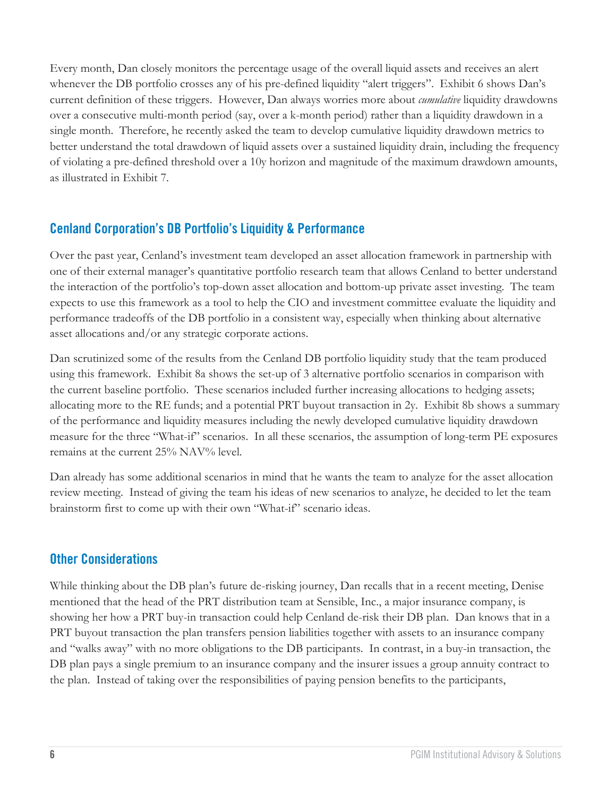Every month, Dan closely monitors the percentage usage of the overall liquid assets and receives an alert whenever the DB portfolio crosses any of his pre-defined liquidity "alert triggers". Exhibit 6 shows Dan's current definition of these triggers. However, Dan always worries more about *cumulative* liquidity drawdowns over a consecutive multi-month period (say, over a k-month period) rather than a liquidity drawdown in a single month. Therefore, he recently asked the team to develop cumulative liquidity drawdown metrics to better understand the total drawdown of liquid assets over a sustained liquidity drain, including the frequency of violating a pre-defined threshold over a 10y horizon and magnitude of the maximum drawdown amounts, as illustrated in Exhibit 7.

#### **Cenland Corporation's DB Portfolio's Liquidity & Performance**

Over the past year, Cenland's investment team developed an asset allocation framework in partnership with one of their external manager's quantitative portfolio research team that allows Cenland to better understand the interaction of the portfolio's top-down asset allocation and bottom-up private asset investing. The team expects to use this framework as a tool to help the CIO and investment committee evaluate the liquidity and performance tradeoffs of the DB portfolio in a consistent way, especially when thinking about alternative asset allocations and/or any strategic corporate actions.

Dan scrutinized some of the results from the Cenland DB portfolio liquidity study that the team produced using this framework. Exhibit 8a shows the set-up of 3 alternative portfolio scenarios in comparison with the current baseline portfolio. These scenarios included further increasing allocations to hedging assets; allocating more to the RE funds; and a potential PRT buyout transaction in 2y. Exhibit 8b shows a summary of the performance and liquidity measures including the newly developed cumulative liquidity drawdown measure for the three "What-if" scenarios. In all these scenarios, the assumption of long-term PE exposures remains at the current 25% NAV% level.

Dan already has some additional scenarios in mind that he wants the team to analyze for the asset allocation review meeting. Instead of giving the team his ideas of new scenarios to analyze, he decided to let the team brainstorm first to come up with their own "What-if" scenario ideas.

#### **Other Considerations**

While thinking about the DB plan's future de-risking journey, Dan recalls that in a recent meeting, Denise mentioned that the head of the PRT distribution team at Sensible, Inc., a major insurance company, is showing her how a PRT buy-in transaction could help Cenland de-risk their DB plan. Dan knows that in a PRT buyout transaction the plan transfers pension liabilities together with assets to an insurance company and "walks away" with no more obligations to the DB participants. In contrast, in a buy-in transaction, the DB plan pays a single premium to an insurance company and the insurer issues a group annuity contract to the plan. Instead of taking over the responsibilities of paying pension benefits to the participants,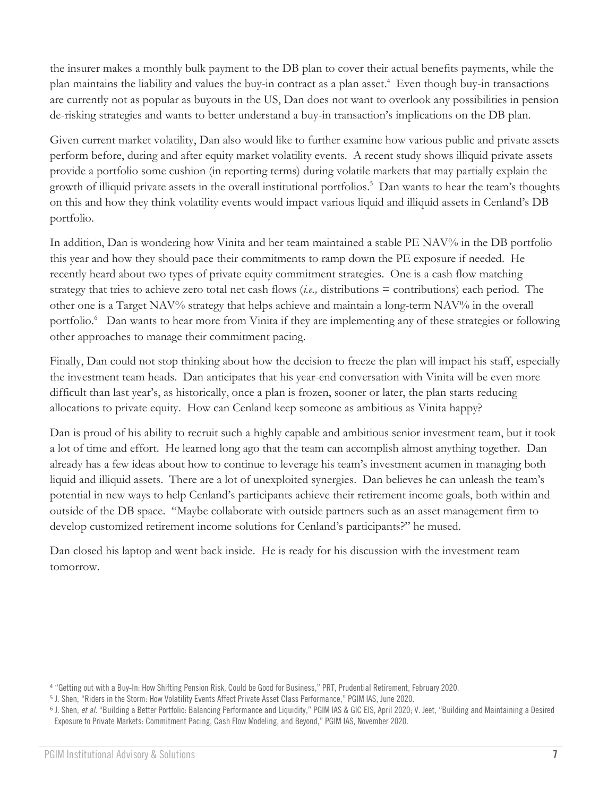the insurer makes a monthly bulk payment to the DB plan to cover their actual benefits payments, while the plan maintains the liability and values the buy-in contract as a plan asset. 4 Even though buy-in transactions are currently not as popular as buyouts in the US, Dan does not want to overlook any possibilities in pension de-risking strategies and wants to better understand a buy-in transaction's implications on the DB plan.

Given current market volatility, Dan also would like to further examine how various public and private assets perform before, during and after equity market volatility events. A recent study shows illiquid private assets provide a portfolio some cushion (in reporting terms) during volatile markets that may partially explain the growth of illiquid private assets in the overall institutional portfolios. 5 Dan wants to hear the team's thoughts on this and how they think volatility events would impact various liquid and illiquid assets in Cenland's DB portfolio.

In addition, Dan is wondering how Vinita and her team maintained a stable PE NAV% in the DB portfolio this year and how they should pace their commitments to ramp down the PE exposure if needed. He recently heard about two types of private equity commitment strategies. One is a cash flow matching strategy that tries to achieve zero total net cash flows (*i.e.,* distributions = contributions) each period. The other one is a Target NAV% strategy that helps achieve and maintain a long-term NAV% in the overall portfolio.<sup>6</sup> Dan wants to hear more from Vinita if they are implementing any of these strategies or following other approaches to manage their commitment pacing.

Finally, Dan could not stop thinking about how the decision to freeze the plan will impact his staff, especially the investment team heads. Dan anticipates that his year-end conversation with Vinita will be even more difficult than last year's, as historically, once a plan is frozen, sooner or later, the plan starts reducing allocations to private equity. How can Cenland keep someone as ambitious as Vinita happy?

Dan is proud of his ability to recruit such a highly capable and ambitious senior investment team, but it took a lot of time and effort. He learned long ago that the team can accomplish almost anything together. Dan already has a few ideas about how to continue to leverage his team's investment acumen in managing both liquid and illiquid assets. There are a lot of unexploited synergies. Dan believes he can unleash the team's potential in new ways to help Cenland's participants achieve their retirement income goals, both within and outside of the DB space. "Maybe collaborate with outside partners such as an asset management firm to develop customized retirement income solutions for Cenland's participants?" he mused.

Dan closed his laptop and went back inside. He is ready for his discussion with the investment team tomorrow.

<sup>4</sup> "[Getting](https://cdn.pficdn.com/cms/pgim4/sites/default/files/2020-07/IAS-Building-a-Better-Portfolio-042020.pdf) out with a Buy-In: How Shifting Pension Risk, Could be Good for Business," PRT, Prudential Retirement, February 2020.

<sup>5</sup> J. Shen, "[Riders in the Storm: How Volatility Events Affect Private Asset Class Performance](https://cdn.pficdn.com/cms/pgim4/sites/default/files/2020-07/IAS-Riders-in-the-Storm-062020.pdf)," PGIM IAS, June 2020.

<sup>&</sup>lt;sup>6</sup> J. Shen, *et al.* "[Building a Better Portfolio: Balancing Performance and Liquidity](https://cdn.pficdn.com/cms/pgim4/sites/default/files/2020-07/IAS-Building-a-Better-Portfolio-042020.pdf)," PGIM IAS & GIC EIS, April 2020; V. Jeet, "Building and Maintaining a Desired [Exposure to Private Markets: Commitment Pacing, Cash Flow Modeling, and Beyond](https://cdn.pficdn.com/cms/pgim4/sites/default/files/2020-11/IAS-Building-and-Maintaining-a-Desired-Exposure-to-Private-Markets-Nov2020.pdf)," PGIM IAS, November 2020.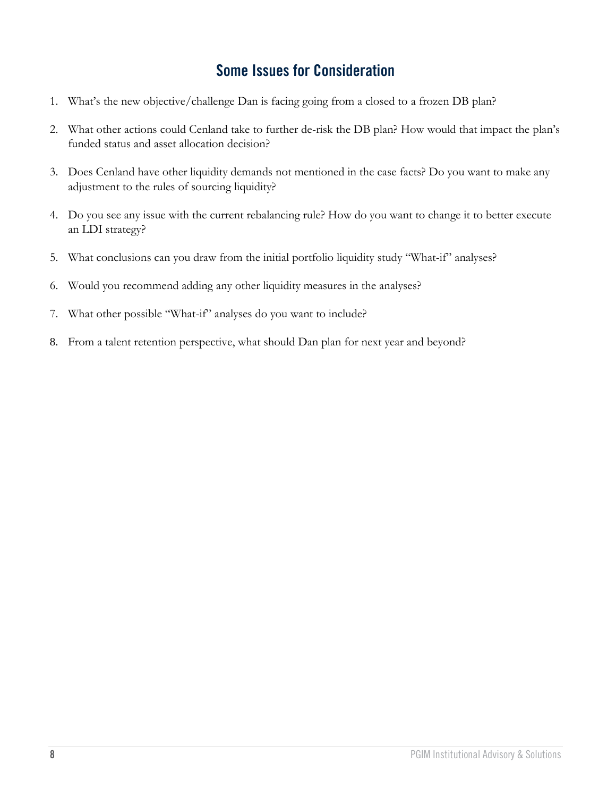### **Some Issues for Consideration**

- 1. What's the new objective/challenge Dan is facing going from a closed to a frozen DB plan?
- 2. What other actions could Cenland take to further de-risk the DB plan? How would that impact the plan's funded status and asset allocation decision?
- 3. Does Cenland have other liquidity demands not mentioned in the case facts? Do you want to make any adjustment to the rules of sourcing liquidity?
- 4. Do you see any issue with the current rebalancing rule? How do you want to change it to better execute an LDI strategy?
- 5. What conclusions can you draw from the initial portfolio liquidity study "What-if" analyses?
- 6. Would you recommend adding any other liquidity measures in the analyses?
- 7. What other possible "What-if" analyses do you want to include?
- 8. From a talent retention perspective, what should Dan plan for next year and beyond?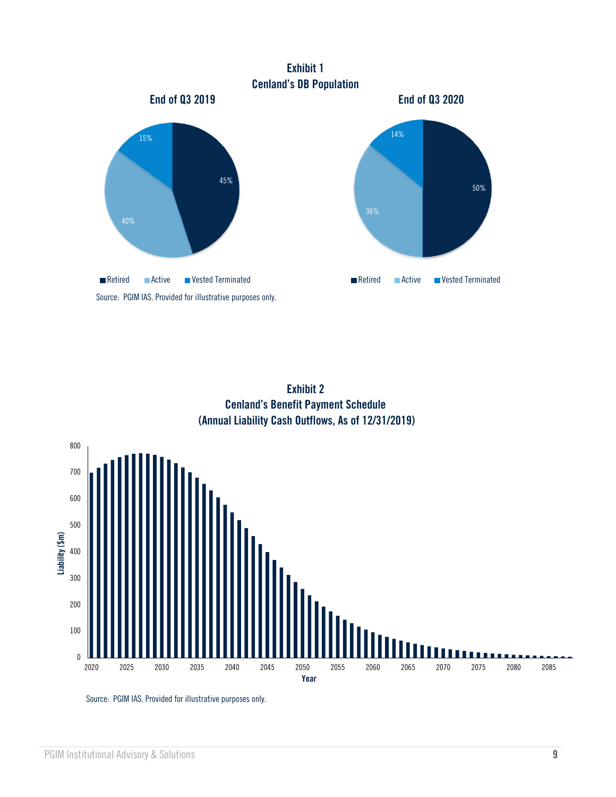

**Exhibit 2 Cenland's Benefit Payment Schedule (Annual Liability Cash Outflows, As of 12/31/2019)**

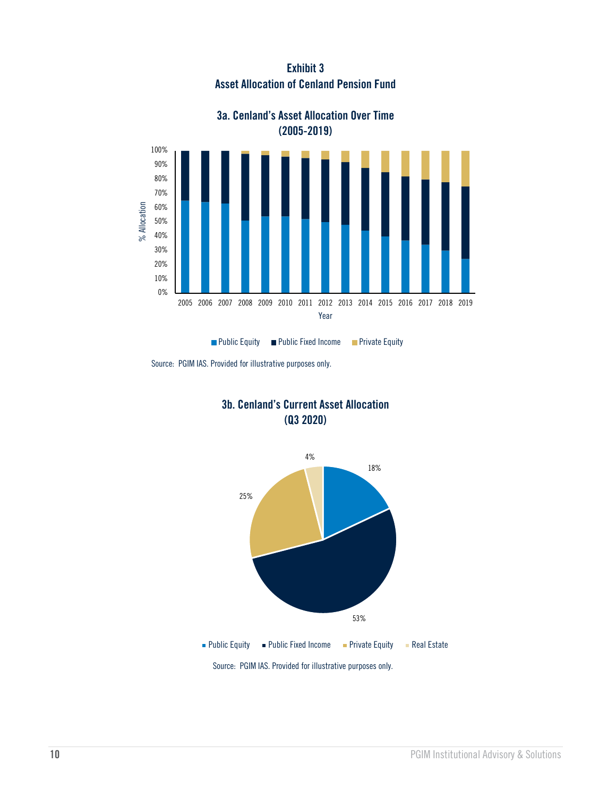**Exhibit 3 Asset Allocation of Cenland Pension Fund**



#### **3a. Cenland's Asset Allocation Over Time (2005-2019)**







Source: PGIM IAS. Provided for illustrative purposes only.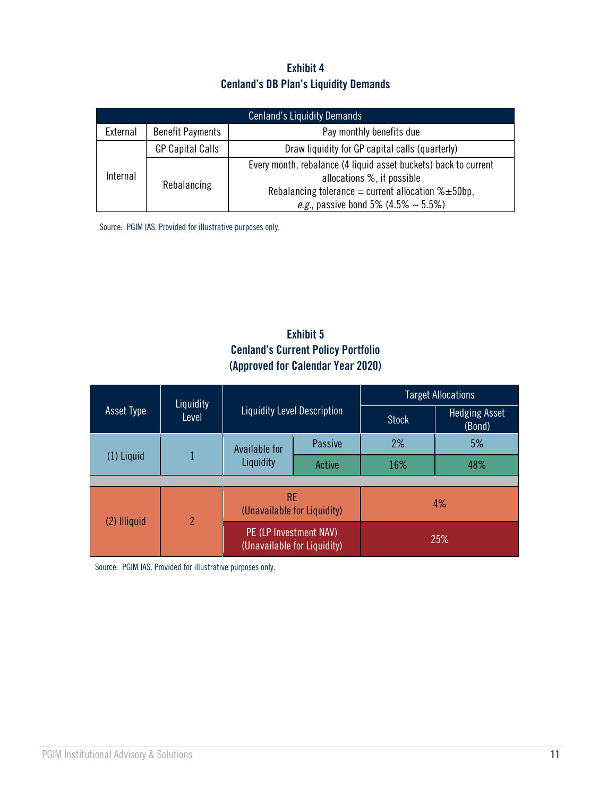#### **Exhibit 4 Cenland's DB Plan's Liquidity Demands**

| <b>Cenland's Liquidity Demands</b> |                                                     |                                                                                                                                                                                                                |  |  |  |  |
|------------------------------------|-----------------------------------------------------|----------------------------------------------------------------------------------------------------------------------------------------------------------------------------------------------------------------|--|--|--|--|
| External                           | <b>Benefit Payments</b><br>Pay monthly benefits due |                                                                                                                                                                                                                |  |  |  |  |
| Internal                           | <b>GP Capital Calls</b>                             | Draw liquidity for GP capital calls (quarterly)                                                                                                                                                                |  |  |  |  |
|                                    | Rebalancing                                         | Every month, rebalance (4 liquid asset buckets) back to current<br>allocations %, if possible<br>Rebalancing tolerance = current allocation $% \pm 50$ bp,<br><i>e.g.</i> , passive bond 5% (4.5% $\sim$ 5.5%) |  |  |  |  |

Source: PGIM IAS. Provided for illustrative purposes only.

#### **Exhibit 5 Cenland's Current Policy Portfolio (Approved for Calendar Year 2020)**

|                   |                    | <b>Liquidity Level Description</b>                    |         | <b>Target Allocations</b> |                                |  |  |
|-------------------|--------------------|-------------------------------------------------------|---------|---------------------------|--------------------------------|--|--|
| <b>Asset Type</b> | Liquidity<br>Level |                                                       |         | <b>Stock</b>              | <b>Hedging Asset</b><br>(Bond) |  |  |
|                   |                    | Available for                                         | Passive | 2%                        | 5%                             |  |  |
| $(1)$ Liquid      |                    | Liquidity                                             | Active  | 16%                       | 48%                            |  |  |
|                   |                    |                                                       |         |                           |                                |  |  |
| (2) Illiquid      | $\overline{2}$     | RE.<br>(Unavailable for Liquidity)                    |         | 4%                        |                                |  |  |
|                   |                    | PE (LP Investment NAV)<br>(Unavailable for Liquidity) |         | 25%                       |                                |  |  |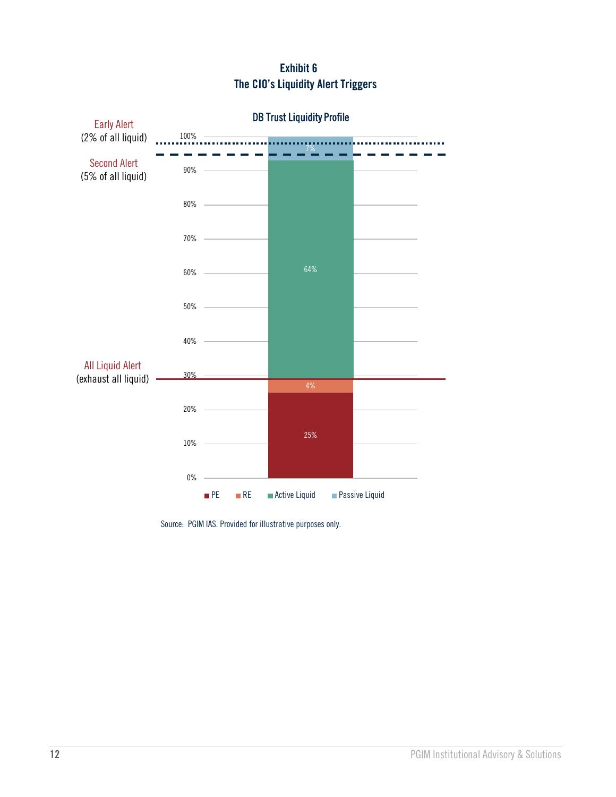#### **Exhibit 6 The CIO's Liquidity Alert Triggers**

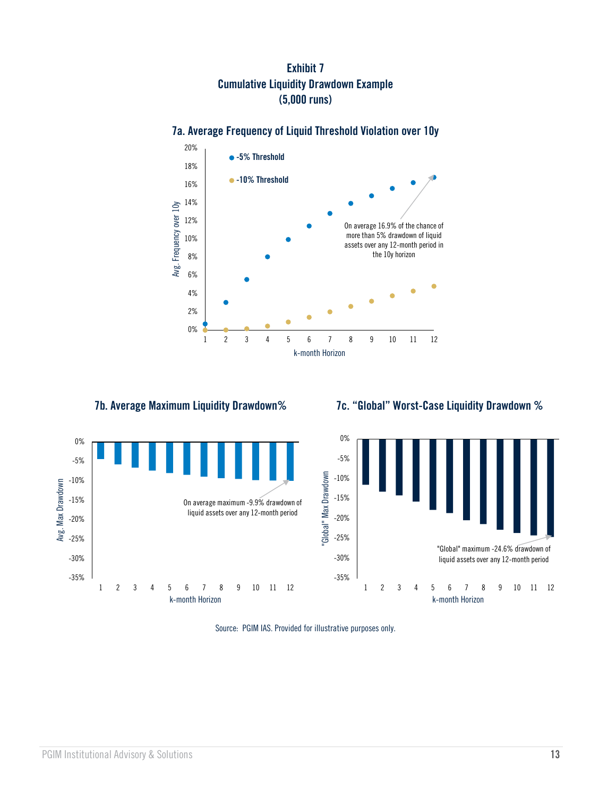#### **Exhibit 7 Cumulative Liquidity Drawdown Example (5,000 runs)**

#### **7a. Average Frequency of Liquid Threshold Violation over 10y**



 **7b. Average Maximum Liquidity Drawdown% 7c. "Global" Worst-Case Liquidity Drawdown %**



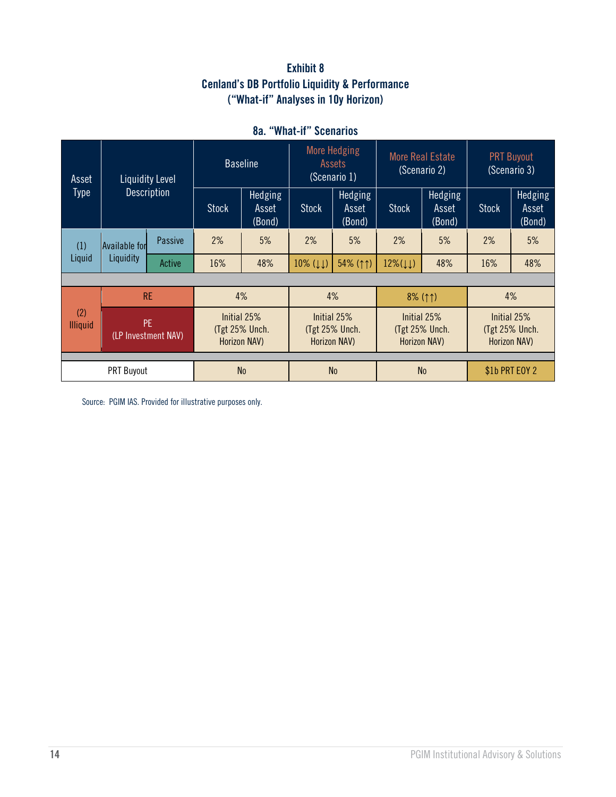#### **Exhibit 8 Cenland's DB Portfolio Liquidity & Performance ("What-if" Analyses in 10y Horizon)**

| Asset<br><b>Type</b>   | <b>Liquidity Level</b><br><b>Description</b> |                | <b>Baseline</b>                               |                                                      | <b>More Hedging</b><br>Assets<br>(Scenario 1) |                            | <b>More Real Estate</b><br>(Scenario 2)              |                            | <b>PRT Buyout</b><br>(Scenario 3)             |                            |
|------------------------|----------------------------------------------|----------------|-----------------------------------------------|------------------------------------------------------|-----------------------------------------------|----------------------------|------------------------------------------------------|----------------------------|-----------------------------------------------|----------------------------|
|                        |                                              |                | <b>Stock</b>                                  | Hedging<br>Asset<br>(Bond)                           | <b>Stock</b>                                  | Hedging<br>Asset<br>(Bond) | <b>Stock</b>                                         | Hedging<br>Asset<br>(Bond) | <b>Stock</b>                                  | Hedging<br>Asset<br>(Bond) |
| (1)<br>Liquid          | Available for<br>Liquidity                   | <b>Passive</b> | 2%                                            | 5%                                                   | 2%                                            | 5%                         | 2%                                                   | 5%                         | 2%                                            | 5%                         |
|                        |                                              | Active         | 16%                                           | 48%                                                  | $10\%$ ( $\downarrow\downarrow$ )             | 54% (11)                   | $12\%(\downarrow\downarrow)$                         | 48%                        | 16%                                           | 48%                        |
|                        |                                              |                |                                               |                                                      |                                               |                            |                                                      |                            |                                               |                            |
|                        | <b>RE</b>                                    |                | 4%                                            |                                                      | 4%                                            |                            | $8\%$ (11)                                           |                            | 4%                                            |                            |
| (2)<br><b>Illiquid</b> | PF.<br>(LP Investment NAV)                   |                | Initial 25%<br>(Tgt 25% Unch.<br>Horizon NAV) | Initial 25%<br>(Tgt 25% Unch.<br><b>Horizon NAV)</b> |                                               |                            | Initial 25%<br>(Tgt 25% Unch.<br><b>Horizon NAV)</b> |                            | Initial 25%<br>(Tgt 25% Unch.<br>Horizon NAV) |                            |
|                        |                                              |                |                                               |                                                      |                                               |                            |                                                      |                            |                                               |                            |
| <b>PRT Buyout</b>      |                                              | N <sub>0</sub> |                                               | N <sub>0</sub>                                       |                                               | N <sub>0</sub>             |                                                      | \$1b PRT EOY 2             |                                               |                            |

#### **8a. "What-if" Scenarios**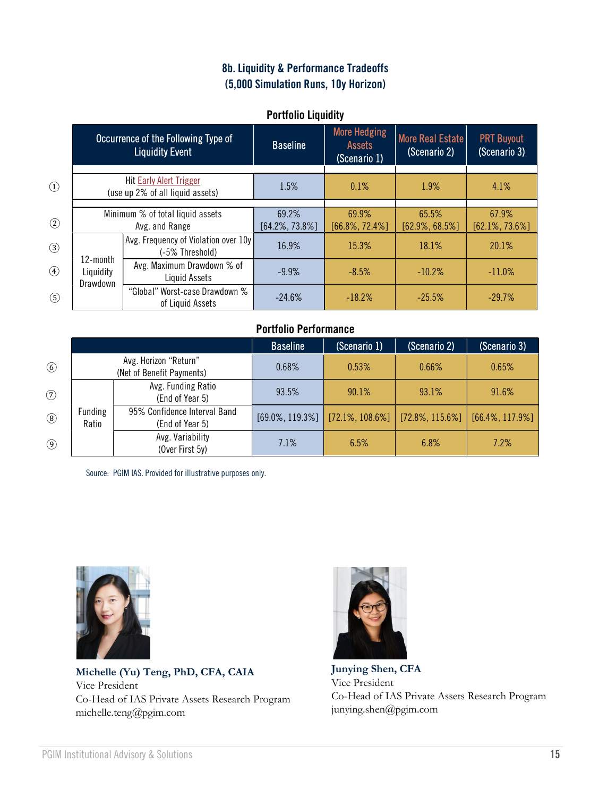#### 8b. Liquidity & Performance Tradeoffs (5,000 Simulation Runs, 10y Horizon)

#### Portfolio Liquidity

|               | Occurrence of the Following Type of<br><b>Liquidity Event</b> |                                                                    | <b>Baseline</b>             | <b>More Hedging</b><br><b>Assets</b><br>(Scenario 1) | <b>More Real Estate</b><br>(Scenario 2) | <b>PRT Buyout</b><br>(Scenario 3) |
|---------------|---------------------------------------------------------------|--------------------------------------------------------------------|-----------------------------|------------------------------------------------------|-----------------------------------------|-----------------------------------|
| $\circled{1}$ |                                                               | <b>Hit Early Alert Trigger</b><br>(use up 2% of all liquid assets) | 1.5%                        | 0.1%                                                 | 1.9%                                    | 4.1%                              |
| $\circled{2}$ |                                                               | Minimum % of total liquid assets<br>Avg. and Range                 | 69.2%<br>$[64.2\%, 73.8\%]$ | 69.9%<br>$[66.8\%, 72.4\%]$                          | 65.5%<br>$[62.9\%, 68.5\%]$             | 67.9%<br>$[62.1\%, 73.6\%]$       |
| $\circled{3}$ | 12-month<br>Liquidity<br>Drawdown                             | Avg. Frequency of Violation over 10y<br>(-5% Threshold)            | 16.9%                       | 15.3%                                                | 18.1%                                   | 20.1%                             |
| $\circled{4}$ |                                                               | Avg. Maximum Drawdown % of<br>Liquid Assets                        | $-9.9%$                     | $-8.5%$                                              | $-10.2%$                                | $-11.0\%$                         |
| $\circledS$   |                                                               | "Global" Worst-case Drawdown %<br>of Liquid Assets                 | $-24.6%$                    | $-18.2%$                                             | $-25.5%$                                | $-29.7%$                          |

#### Portfolio Performance

|                |                  |                                                    | <b>Baseline</b>     | (Scenario 1) | (Scenario 2)                            | (Scenario 3)        |
|----------------|------------------|----------------------------------------------------|---------------------|--------------|-----------------------------------------|---------------------|
| $\circled{6}$  |                  | Avg. Horizon "Return"<br>(Net of Benefit Payments) | 0.68%               | 0.53%        | 0.66%                                   | 0.65%               |
| $\circledcirc$ |                  | Avg. Funding Ratio<br>(End of Year 5)              | 93.5%               | 90.1%        | 93.1%                                   | 91.6%               |
| $\circledS$    | Funding<br>Ratio | 95% Confidence Interval Band<br>(End of Year 5)    | $[69.0\%, 119.3\%]$ |              | $[72.1\%, 108.6\%]$ $[72.8\%, 115.6\%]$ | $[66.4\%, 117.9\%]$ |
| $\circled{9}$  |                  | Avg. Variability<br>(Over First 5y)                | 7.1%                | 6.5%         | 6.8%                                    | 7.2%                |

Source: PGIM IAS. Provided for illustrative purposes only.



Michelle (Yu) Teng, PhD, CFA, CAIA Vice President Co-Head of IAS Private Assets Research Program michelle.teng@pgim.com



Junying Shen, CFA Vice President Co-Head of IAS Private Assets Research Program junying.shen@pgim.com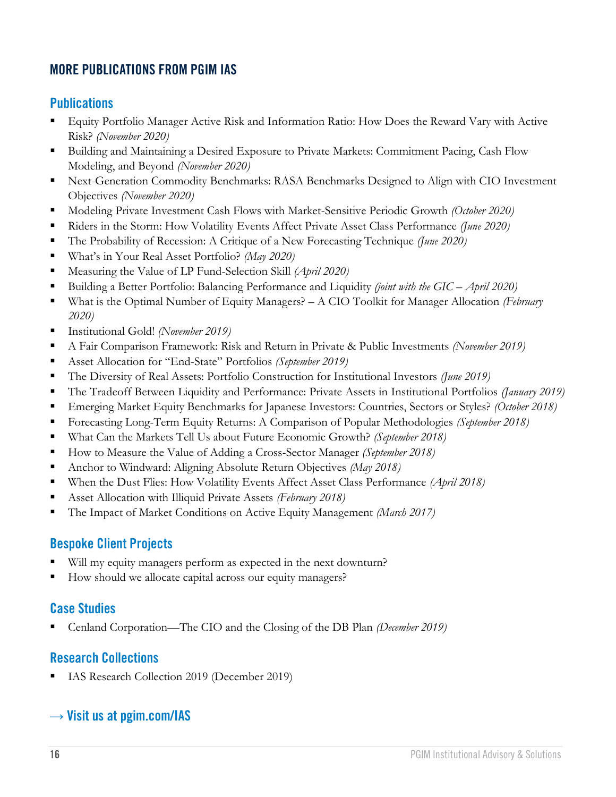#### **MORE PUBLICATIONS FROM PGIM IAS**

#### **Publications**

- Equity Portfolio Manager Active Risk and Information Ratio: How Does the Reward Vary with Active Risk? *(November 2020)*
- Building and Maintaining a Desired Exposure to Private Markets: Commitment Pacing, Cash Flow Modeling, and Beyond *(November 2020)*
- Next-Generation Commodity Benchmarks: RASA Benchmarks Designed to Align with CIO Investment Objectives *(November 2020)*
- Modeling Private Investment Cash Flows with Market-Sensitive Periodic Growth *(October 2020)*
- Riders in the Storm: How Volatility Events Affect Private Asset Class Performance *(June 2020)*
- The Probability of Recession: A Critique of a New Forecasting Technique *(June 2020)*
- What's in Your Real Asset Portfolio? *(May 2020)*
- Measuring the Value of LP Fund-Selection Skill *(April 2020)*
- Building a Better Portfolio: Balancing Performance and Liquidity *(joint with the GIC April 2020)*
- What is the Optimal Number of Equity Managers? A CIO Toolkit for Manager Allocation *(February 2020)*
- Institutional Gold! *(November 2019)*
- A Fair Comparison Framework: Risk and Return in Private & Public Investments *(November 2019)*
- Asset Allocation for "End-State" Portfolios *(September 2019)*
- The Diversity of Real Assets: Portfolio Construction for Institutional Investors *(June 2019)*
- The Tradeoff Between Liquidity and Performance: Private Assets in Institutional Portfolios *(January 2019)*
- Emerging Market Equity Benchmarks for Japanese Investors: Countries, Sectors or Styles? *(October 2018)*
- Forecasting Long-Term Equity Returns: A Comparison of Popular Methodologies *(September 2018)*
- What Can the Markets Tell Us about Future Economic Growth? *(September 2018)*
- How to Measure the Value of Adding a Cross-Sector Manager *(September 2018)*
- Anchor to Windward: Aligning Absolute Return Objectives *(May 2018)*
- When the Dust Flies: How Volatility Events Affect Asset Class Performance *(April 2018)*
- Asset Allocation with Illiquid Private Assets *(February 2018)*
- The Impact of Market Conditions on Active Equity Management *(March 2017)*

#### **Bespoke Client Projects**

- Will my equity managers perform as expected in the next downturn?
- How should we allocate capital across our equity managers?

#### **Case Studies**

▪ Cenland Corporation—The CIO and the Closing of the DB Plan *(December 2019)*

#### **Research Collections**

IAS Research Collection 2019 (December 2019)

#### → **Visit us at [pgim.com/IAS](https://www.pgim.com/clients/advisory-solutions)**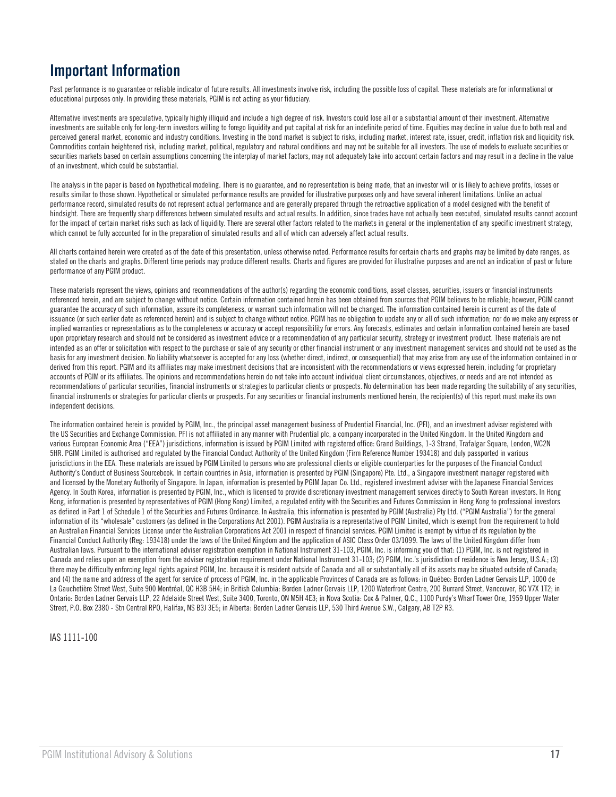## **Important Information**

Past performance is no guarantee or reliable indicator of future results. All investments involve risk, including the possible loss of capital. These materials are for informational or educational purposes only. In providing these materials, PGIM is not acting as your fiduciary.

Alternative investments are speculative, typically highly illiquid and include a high degree of risk. Investors could lose all or a substantial amount of their investment. Alternative investments are suitable only for long-term investors willing to forego liquidity and put capital at risk for an indefinite period of time. Equities may decline in value due to both real and perceived general market, economic and industry conditions. Investing in the bond market is subject to risks, including market, interest rate, issuer, credit, inflation risk and liquidity risk. Commodities contain heightened risk, including market, political, regulatory and natural conditions and may not be suitable for all investors. The use of models to evaluate securities or securities markets based on certain assumptions concerning the interplay of market factors, may not adequately take into account certain factors and may result in a decline in the value of an investment, which could be substantial.

The analysis in the paper is based on hypothetical modeling. There is no guarantee, and no representation is being made, that an investor will or is likely to achieve profits, losses or results similar to those shown. Hypothetical or simulated performance results are provided for illustrative purposes only and have several inherent limitations. Unlike an actual performance record, simulated results do not represent actual performance and are generally prepared through the retroactive application of a model designed with the benefit of hindsight. There are frequently sharp differences between simulated results and actual results. In addition, since trades have not actually been executed, simulated results cannot account for the impact of certain market risks such as lack of liquidity. There are several other factors related to the markets in general or the implementation of any specific investment strategy, which cannot be fully accounted for in the preparation of simulated results and all of which can adversely affect actual results.

All charts contained herein were created as of the date of this presentation, unless otherwise noted. Performance results for certain charts and graphs may be limited by date ranges, as stated on the charts and graphs. Different time periods may produce different results. Charts and figures are provided for illustrative purposes and are not an indication of past or future performance of any PGIM product.

These materials represent the views, opinions and recommendations of the author(s) regarding the economic conditions, asset classes, securities, issuers or financial instruments referenced herein, and are subject to change without notice. Certain information contained herein has been obtained from sources that PGIM believes to be reliable; however, PGIM cannot guarantee the accuracy of such information, assure its completeness, or warrant such information will not be changed. The information contained herein is current as of the date of issuance (or such earlier date as referenced herein) and is subject to change without notice. PGIM has no obligation to update any or all of such information; nor do we make any express or implied warranties or representations as to the completeness or accuracy or accept responsibility for errors. Any forecasts, estimates and certain information contained herein are based upon proprietary research and should not be considered as investment advice or a recommendation of any particular security, strategy or investment product. These materials are not intended as an offer or solicitation with respect to the purchase or sale of any security or other financial instrument or any investment management services and should not be used as the basis for any investment decision. No liability whatsoever is accepted for any loss (whether direct, indirect, or consequential) that may arise from any use of the information contained in or derived from this report. PGIM and its affiliates may make investment decisions that are inconsistent with the recommendations or views expressed herein, including for proprietary accounts of PGIM or its affiliates. The opinions and recommendations herein do not take into account individual client circumstances, objectives, or needs and are not intended as recommendations of particular securities, financial instruments or strategies to particular clients or prospects. No determination has been made regarding the suitability of any securities, financial instruments or strategies for particular clients or prospects. For any securities or financial instruments mentioned herein, the recipient(s) of this report must make its own independent decisions.

The information contained herein is provided by PGIM, Inc., the principal asset management business of Prudential Financial, Inc. (PFI), and an investment adviser registered with the US Securities and Exchange Commission. PFI is not affiliated in any manner with Prudential plc, a company incorporated in the United Kingdom. In the United Kingdom and various European Economic Area ("EEA") jurisdictions, information is issued by PGIM Limited with registered office: Grand Buildings, 1-3 Strand, Trafalgar Square, London, WC2N 5HR. PGIM Limited is authorised and regulated by the Financial Conduct Authority of the United Kingdom (Firm Reference Number 193418) and duly passported in various jurisdictions in the EEA. These materials are issued by PGIM Limited to persons who are professional clients or eligible counterparties for the purposes of the Financial Conduct Authority's Conduct of Business Sourcebook. In certain countries in Asia, information is presented by PGIM (Singapore) Pte. Ltd., a Singapore investment manager registered with and licensed by the Monetary Authority of Singapore. In Japan, information is presented by PGIM Japan Co. Ltd., registered investment adviser with the Japanese Financial Services Agency. In South Korea, information is presented by PGIM, Inc., which is licensed to provide discretionary investment management services directly to South Korean investors. In Hong Kong, information is presented by representatives of PGIM (Hong Kong) Limited, a regulated entity with the Securities and Futures Commission in Hong Kong to professional investors as defined in Part 1 of Schedule 1 of the Securities and Futures Ordinance. In Australia, this information is presented by PGIM (Australia) Pty Ltd. ("PGIM Australia") for the general information of its "wholesale" customers (as defined in the Corporations Act 2001). PGIM Australia is a representative of PGIM Limited, which is exempt from the requirement to hold an Australian Financial Services License under the Australian Corporations Act 2001 in respect of financial services. PGIM Limited is exempt by virtue of its regulation by the Financial Conduct Authority (Reg: 193418) under the laws of the United Kingdom and the application of ASIC Class Order 03/1099. The laws of the United Kingdom differ from Australian laws. Pursuant to the international adviser registration exemption in National Instrument 31-103, PGIM, Inc. is informing you of that: (1) PGIM, Inc. is not registered in Canada and relies upon an exemption from the adviser registration requirement under National Instrument 31-103; (2) PGIM, Inc.'s jurisdiction of residence is New Jersey, U.S.A.; (3) there may be difficulty enforcing legal rights against PGIM, Inc. because it is resident outside of Canada and all or substantially all of its assets may be situated outside of Canada; and (4) the name and address of the agent for service of process of PGIM, Inc. in the applicable Provinces of Canada are as follows: in Québec: Borden Ladner Gervais LLP, 1000 de La Gauchetière Street West, Suite 900 Montréal, QC H3B 5H4; in British Columbia: Borden Ladner Gervais LLP, 1200 Waterfront Centre, 200 Burrard Street, Vancouver, BC V7X 1T2; in Ontario: Borden Ladner Gervais LLP, 22 Adelaide Street West, Suite 3400, Toronto, ON M5H 4E3; in Nova Scotia: Cox & Palmer, Q.C., 1100 Purdy's Wharf Tower One, 1959 Upper Water Street, P.O. Box 2380 - Stn Central RPO, Halifax, NS B3J 3E5; in Alberta: Borden Ladner Gervais LLP, 530 Third Avenue S.W., Calgary, AB T2P R3.

IAS 1111-100